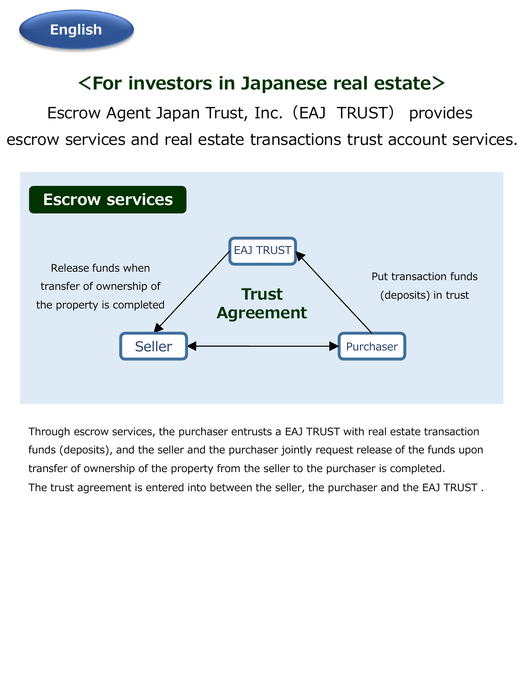### **<For investors in Japanese real estate>**

Escrow Agent Japan Trust, Inc.(EAJ TRUST) provides escrow services and real estate transactions trust account services.



Through escrow services, the purchaser entrusts a EAJ TRUST with real estate transaction funds (deposits), and the seller and the purchaser jointly request release of the funds upon transfer of ownership of the property from the seller to the purchaser is completed. The trust agreement is entered into between the seller, the purchaser and the EAJ TRUST .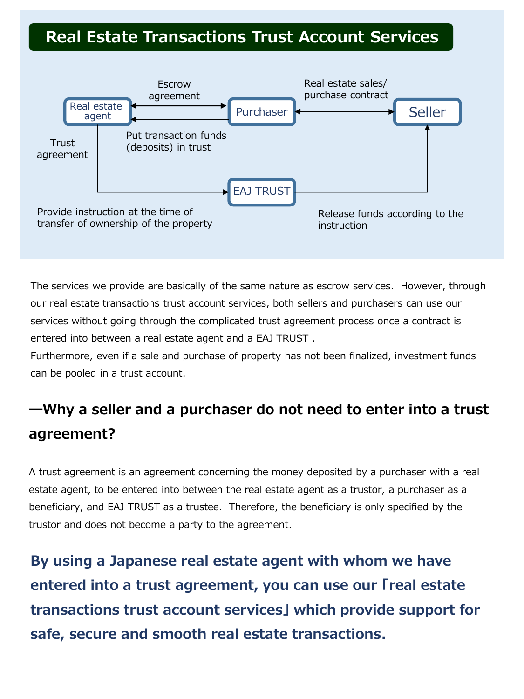#### **Real Estate Transactions Trust Account Services**



The services we provide are basically of the same nature as escrow services. However, through our real estate transactions trust account services, both sellers and purchasers can use our services without going through the complicated trust agreement process once a contract is entered into between a real estate agent and a EAJ TRUST .

Furthermore, even if a sale and purchase of property has not been finalized, investment funds can be pooled in a trust account.

### **―Why a seller and a purchaser do not need to enter into a trust agreement?**

A trust agreement is an agreement concerning the money deposited by a purchaser with a real estate agent, to be entered into between the real estate agent as a trustor, a purchaser as a beneficiary, and EAJ TRUST as a trustee. Therefore, the beneficiary is only specified by the trustor and does not become a party to the agreement.

**By using a Japanese real estate agent with whom we have entered into a trust agreement, you can use our 「real estate transactions trust account services」 which provide support for safe, secure and smooth real estate transactions.**